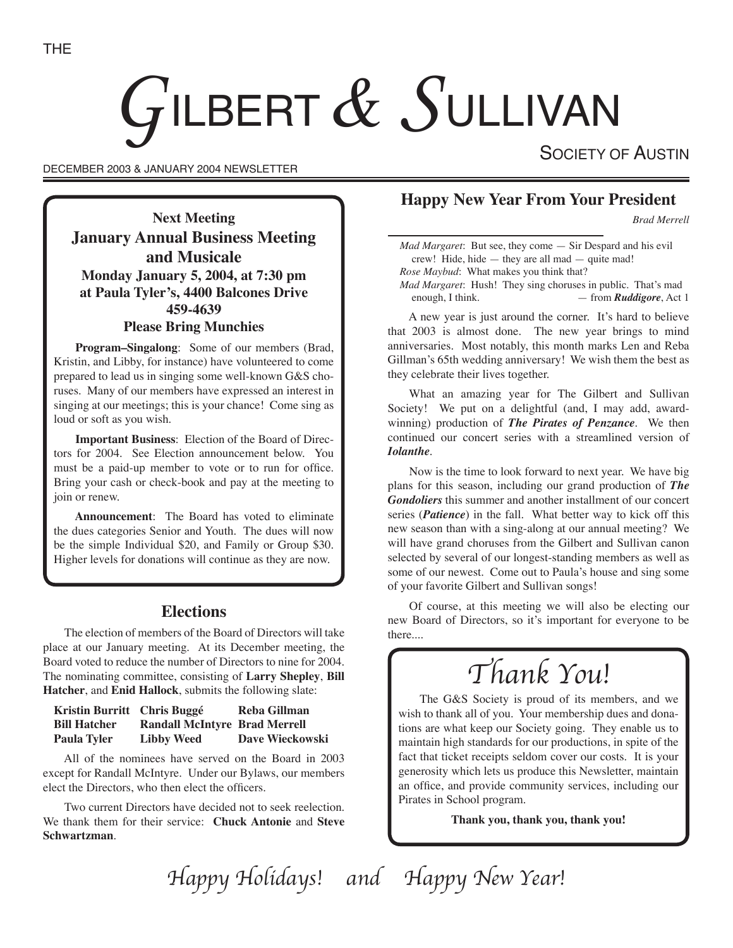# $G$ ILBERT  $\&$   $S$ ullivan

DECEMBER 2003 & JANUARY 2004 NEWSLETTER

SOCIETY OF AUSTIN

**Next Meeting January Annual Business Meeting and Musicale Monday January 5, 2004, at 7:30 pm at Paula Tyler's, 4400 Balcones Drive 459-4639 Please Bring Munchies**

**Program–Singalong**: Some of our members (Brad, Kristin, and Libby, for instance) have volunteered to come prepared to lead us in singing some well-known G&S choruses. Many of our members have expressed an interest in singing at our meetings; this is your chance! Come sing as loud or soft as you wish.

**Important Business**: Election of the Board of Directors for 2004. See Election announcement below. You must be a paid-up member to vote or to run for office. Bring your cash or check-book and pay at the meeting to join or renew.

**Announcement**: The Board has voted to eliminate the dues categories Senior and Youth. The dues will now be the simple Individual \$20, and Family or Group \$30. Higher levels for donations will continue as they are now.

# **Elections**

The election of members of the Board of Directors will take place at our January meeting. At its December meeting, the Board voted to reduce the number of Directors to nine for 2004. The nominating committee, consisting of **Larry Shepley**, **Bill Hatcher**, and **Enid Hallock**, submits the following slate:

| Kristin Burritt Chris Buggé |                                      | Reba Gillman           |
|-----------------------------|--------------------------------------|------------------------|
| <b>Bill Hatcher</b>         | <b>Randall McIntyre Brad Merrell</b> |                        |
| <b>Paula Tyler</b>          | <b>Libby Weed</b>                    | <b>Dave Wieckowski</b> |

All of the nominees have served on the Board in 2003 except for Randall McIntyre. Under our Bylaws, our members elect the Directors, who then elect the officers.

Two current Directors have decided not to seek reelection. We thank them for their service: **Chuck Antonie** and **Steve Schwartzman**.

# **Happy New Year From Your President**

*Brad Merrell*

*Mad Margaret*: But see, they come — Sir Despard and his evil crew! Hide, hide — they are all mad — quite mad! *Rose Maybud*: What makes you think that? *Mad Margaret*: Hush! They sing choruses in public. That's mad

enough, I think. — from *Ruddigore*, Act 1

A new year is just around the corner. It's hard to believe that 2003 is almost done. The new year brings to mind anniversaries. Most notably, this month marks Len and Reba Gillman's 65th wedding anniversary! We wish them the best as they celebrate their lives together.

What an amazing year for The Gilbert and Sullivan Society! We put on a delightful (and, I may add, awardwinning) production of *The Pirates of Penzance*. We then continued our concert series with a streamlined version of *Iolanthe*.

Now is the time to look forward to next year. We have big plans for this season, including our grand production of *The Gondoliers* this summer and another installment of our concert series (*Patience*) in the fall. What better way to kick off this new season than with a sing-along at our annual meeting? We will have grand choruses from the Gilbert and Sullivan canon selected by several of our longest-standing members as well as some of our newest. Come out to Paula's house and sing some of your favorite Gilbert and Sullivan songs!

Of course, at this meeting we will also be electing our new Board of Directors, so it's important for everyone to be there....

# Thank You!

The G&S Society is proud of its members, and we wish to thank all of you. Your membership dues and donations are what keep our Society going. They enable us to maintain high standards for our productions, in spite of the fact that ticket receipts seldom cover our costs. It is your generosity which lets us produce this Newsletter, maintain an office, and provide community services, including our Pirates in School program.

**Thank you, thank you, thank you!**

Happy Holidays! and Happy New Year!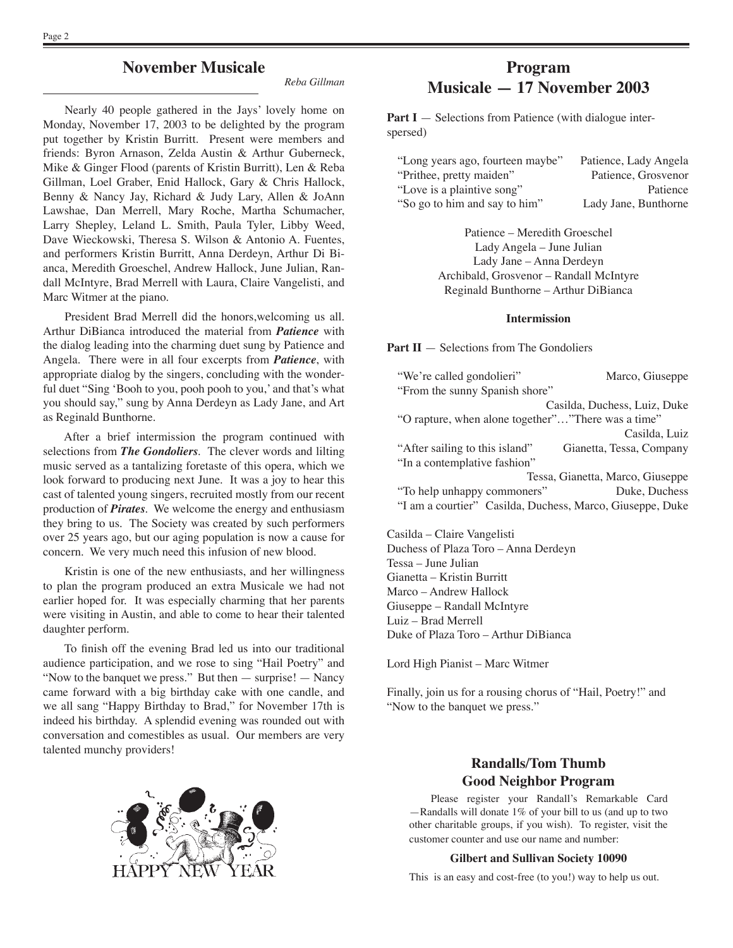# **November Musicale**

*Reba Gillman*

Nearly 40 people gathered in the Jays' lovely home on Monday, November 17, 2003 to be delighted by the program put together by Kristin Burritt. Present were members and friends: Byron Arnason, Zelda Austin & Arthur Guberneck, Mike & Ginger Flood (parents of Kristin Burritt), Len & Reba Gillman, Loel Graber, Enid Hallock, Gary & Chris Hallock, Benny & Nancy Jay, Richard & Judy Lary, Allen & JoAnn Lawshae, Dan Merrell, Mary Roche, Martha Schumacher, Larry Shepley, Leland L. Smith, Paula Tyler, Libby Weed, Dave Wieckowski, Theresa S. Wilson & Antonio A. Fuentes, and performers Kristin Burritt, Anna Derdeyn, Arthur Di Bianca, Meredith Groeschel, Andrew Hallock, June Julian, Randall McIntyre, Brad Merrell with Laura, Claire Vangelisti, and Marc Witmer at the piano.

President Brad Merrell did the honors,welcoming us all. Arthur DiBianca introduced the material from *Patience* with the dialog leading into the charming duet sung by Patience and Angela. There were in all four excerpts from *Patience*, with appropriate dialog by the singers, concluding with the wonderful duet "Sing ʻBooh to you, pooh pooh to you,' and that's what you should say," sung by Anna Derdeyn as Lady Jane, and Art as Reginald Bunthorne.

After a brief intermission the program continued with selections from *The Gondoliers*. The clever words and lilting music served as a tantalizing foretaste of this opera, which we look forward to producing next June. It was a joy to hear this cast of talented young singers, recruited mostly from our recent production of *Pirates*. We welcome the energy and enthusiasm they bring to us. The Society was created by such performers over 25 years ago, but our aging population is now a cause for concern. We very much need this infusion of new blood.

Kristin is one of the new enthusiasts, and her willingness to plan the program produced an extra Musicale we had not earlier hoped for. It was especially charming that her parents were visiting in Austin, and able to come to hear their talented daughter perform.

To finish off the evening Brad led us into our traditional audience participation, and we rose to sing "Hail Poetry" and "Now to the banquet we press." But then — surprise! — Nancy came forward with a big birthday cake with one candle, and we all sang "Happy Birthday to Brad," for November 17th is indeed his birthday. A splendid evening was rounded out with conversation and comestibles as usual. Our members are very talented munchy providers!

# **Program Musicale — 17 November 2003**

**Part I** — Selections from Patience (with dialogue interspersed)

| "Long years ago, fourteen maybe" | Patience, Lady Angela |
|----------------------------------|-----------------------|
| "Prithee, pretty maiden"         | Patience, Grosvenor   |
| "Love is a plaintive song"       | Patience              |
| "So go to him and say to him"    | Lady Jane, Bunthorne  |
|                                  |                       |

Patience – Meredith Groeschel Lady Angela – June Julian Lady Jane – Anna Derdeyn Archibald, Grosvenor – Randall McIntyre Reginald Bunthorne – Arthur DiBianca

#### **Intermission**

**Part II** — Selections from The Gondoliers

| "We're called gondolieri"                                 | Marco, Giuseppe                  |  |
|-----------------------------------------------------------|----------------------------------|--|
| "From the sunny Spanish shore"                            |                                  |  |
|                                                           | Casilda, Duchess, Luiz, Duke     |  |
| "O rapture, when alone together""There was a time"        |                                  |  |
|                                                           | Casilda, Luiz                    |  |
| "After sailing to this island"                            | Gianetta, Tessa, Company         |  |
| "In a contemplative fashion"                              |                                  |  |
|                                                           | Tessa, Gianetta, Marco, Giuseppe |  |
| "To help unhappy commoners"                               | Duke, Duchess                    |  |
| "I am a courtier" Casilda, Duchess, Marco, Giuseppe, Duke |                                  |  |
|                                                           |                                  |  |

Casilda – Claire Vangelisti Duchess of Plaza Toro – Anna Derdeyn Tessa – June Julian Gianetta – Kristin Burritt Marco – Andrew Hallock Giuseppe – Randall McIntyre Luiz – Brad Merrell Duke of Plaza Toro – Arthur DiBianca

Lord High Pianist – Marc Witmer

Finally, join us for a rousing chorus of "Hail, Poetry!" and "Now to the banquet we press."

## **Randalls/Tom Thumb Good Neighbor Program**

Please register your Randall's Remarkable Card —Randalls will donate 1% of your bill to us (and up to two other charitable groups, if you wish). To register, visit the customer counter and use our name and number:

#### **Gilbert and Sullivan Society 10090**

This is an easy and cost-free (to you!) way to help us out.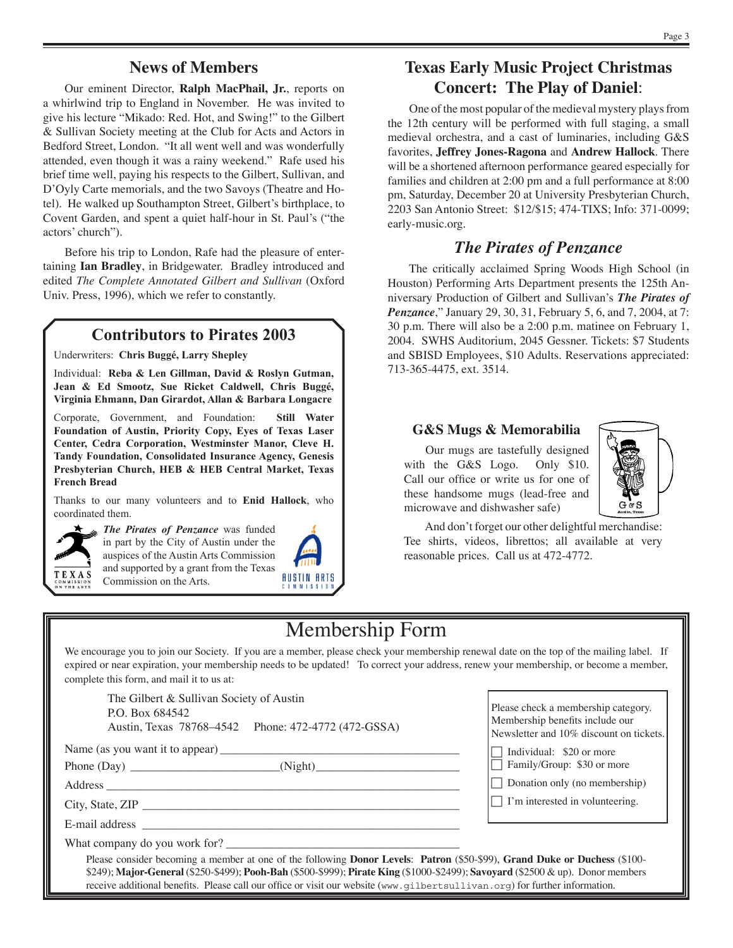# **News of Members**

Our eminent Director, **Ralph MacPhail, Jr.**, reports on a whirlwind trip to England in November. He was invited to give his lecture "Mikado: Red. Hot, and Swing!" to the Gilbert & Sullivan Society meeting at the Club for Acts and Actors in Bedford Street, London. "It all went well and was wonderfully attended, even though it was a rainy weekend." Rafe used his brief time well, paying his respects to the Gilbert, Sullivan, and D'Oyly Carte memorials, and the two Savoys (Theatre and Hotel). He walked up Southampton Street, Gilbert's birthplace, to Covent Garden, and spent a quiet half-hour in St. Paul's ("the actors' church").

Before his trip to London, Rafe had the pleasure of entertaining **Ian Bradley**, in Bridgewater. Bradley introduced and edited *The Complete Annotated Gilbert and Sullivan* (Oxford Univ. Press, 1996), which we refer to constantly.

# **Contributors to Pirates 2003**

Underwriters: **Chris Buggé, Larry Shepley**

Individual: **Reba & Len Gillman, David & Roslyn Gutman, Jean & Ed Smootz, Sue Ricket Caldwell, Chris Buggé, Virginia Ehmann, Dan Girardot, Allan & Barbara Longacre**

Corporate, Government, and Foundation: **Still Water Foundation of Austin, Priority Copy, Eyes of Texas Laser Center, Cedra Corporation, Westminster Manor, Cleve H. Tandy Foundation, Consolidated Insurance Agency, Genesis Presbyterian Church, HEB & HEB Central Market, Texas French Bread**

Thanks to our many volunteers and to **Enid Hallock**, who coordinated them.



*The Pirates of Penzance* was funded in part by the City of Austin under the auspices of the Austin Arts Commission and supported by a grant from the Texas Commission on the Arts.



# **Texas Early Music Project Christmas Concert: The Play of Daniel**:

One of the most popular of the medieval mystery plays from the 12th century will be performed with full staging, a small medieval orchestra, and a cast of luminaries, including G&S favorites, **Jeffrey Jones-Ragona** and **Andrew Hallock**. There will be a shortened afternoon performance geared especially for families and children at 2:00 pm and a full performance at 8:00 pm, Saturday, December 20 at University Presbyterian Church, 2203 San Antonio Street: \$12/\$15; 474-TIXS; Info: 371-0099; early-music.org.

# *The Pirates of Penzance*

The critically acclaimed Spring Woods High School (in Houston) Performing Arts Department presents the 125th Anniversary Production of Gilbert and Sullivan's *The Pirates of Penzance*," January 29, 30, 31, February 5, 6, and 7, 2004, at 7: 30 p.m. There will also be a 2:00 p.m. matinee on February 1, 2004. SWHS Auditorium, 2045 Gessner. Tickets: \$7 Students and SBISD Employees, \$10 Adults. Reservations appreciated: 713-365-4475, ext. 3514.

### **G&S Mugs & Memorabilia**

Our mugs are tastefully designed with the G&S Logo. Only \$10. Call our office or write us for one of these handsome mugs (lead-free and microwave and dishwasher safe)



And don't forget our other delightful merchandise: Tee shirts, videos, librettos; all available at very reasonable prices. Call us at 472-4772.

# Membership Form

We encourage you to join our Society. If you are a member, please check your membership renewal date on the top of the mailing label. If expired or near expiration, your membership needs to be updated! To correct your address, renew your membership, or become a member, complete this form, and mail it to us at:

The Gilbert & Sullivan Society of Austin P.O. Box 684542 Austin, Texas 78768–4542 Phone: 472-4772 (472-GSSA)

Name (as you want it to appear) \_\_\_\_\_\_\_\_\_\_\_\_\_\_\_\_\_\_\_\_\_\_\_\_\_\_\_\_\_\_\_\_\_\_\_\_\_\_\_\_

Phone (Day) \_\_\_\_\_\_\_\_\_\_\_\_\_\_\_\_\_\_\_\_\_\_\_\_\_(Night)\_\_\_\_\_\_\_\_\_\_\_\_\_\_\_\_\_\_\_\_\_\_\_\_

Address \_\_\_\_\_\_\_\_\_\_\_\_\_\_\_\_\_\_\_\_\_\_\_\_\_\_\_\_\_\_\_\_\_\_\_\_\_\_\_\_\_\_\_\_\_\_\_\_\_\_\_\_\_\_\_\_\_\_\_

City, State, ZIP \_\_\_\_\_\_\_\_\_\_\_\_\_\_\_\_\_\_\_\_\_\_\_\_\_\_\_\_\_\_\_\_\_\_\_\_\_\_\_\_\_\_\_\_\_\_\_\_\_\_\_\_\_

E-mail address

What company do you work for?

Please check a membership category. Membership benefits include our Newsletter and 10% discount on tickets.

 $\Box$  Individual: \$20 or more

 $\overline{\Box}$  Family/Group: \$30 or more

 $\Box$  Donation only (no membership)

 $\Box$  I'm interested in volunteering.

Please consider becoming a member at one of the following **Donor Levels**: **Patron** (\$50-\$99), **Grand Duke or Duchess** (\$100- \$249); **Major-General** (\$250-\$499); **Pooh-Bah** (\$500-\$999); **Pirate King** (\$1000-\$2499); **Savoyard** (\$2500 & up). Donor members receive additional benefits. Please call our office or visit our website (www.gilbertsullivan.org) for further information.